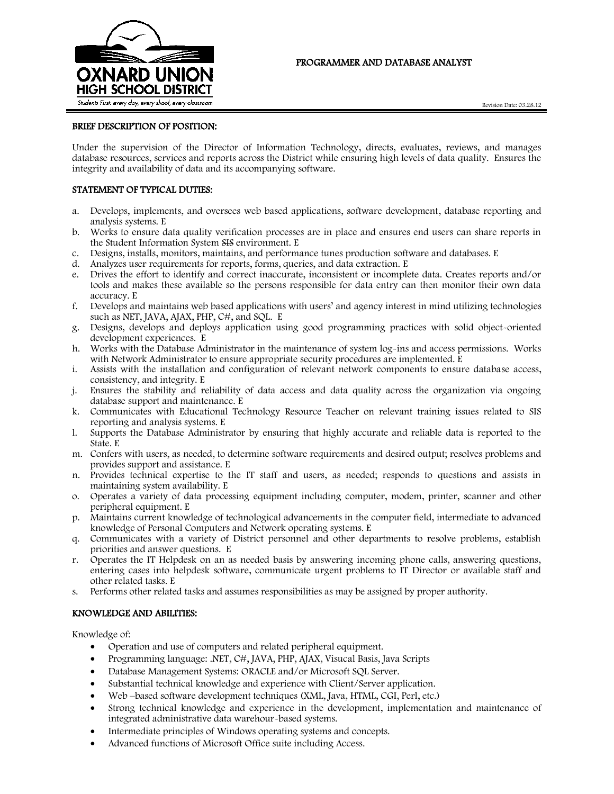

# PROGRAMMER AND DATABASE ANALYST

# BRIEF DESCRIPTION OF POSITION:

Under the supervision of the Director of Information Technology, directs, evaluates, reviews, and manages database resources, services and reports across the District while ensuring high levels of data quality. Ensures the integrity and availability of data and its accompanying software.

#### STATEMENT OF TYPICAL DUTIES:

- a. Develops, implements, and oversees web based applications, software development, database reporting and analysis systems. E
- b. Works to ensure data quality verification processes are in place and ensures end users can share reports in the Student Information System SIS environment. E
- c. Designs, installs, monitors, maintains, and performance tunes production software and databases. E
- d. Analyzes user requirements for reports, forms, queries, and data extraction. E
- e. Drives the effort to identify and correct inaccurate, inconsistent or incomplete data. Creates reports and/or tools and makes these available so the persons responsible for data entry can then monitor their own data accuracy. E
- f. Develops and maintains web based applications with users' and agency interest in mind utilizing technologies such as NET, JAVA, AJAX, PHP, C#, and SQL. E
- g. Designs, develops and deploys application using good programming practices with solid object-oriented development experiences. E
- h. Works with the Database Administrator in the maintenance of system log-ins and access permissions. Works with Network Administrator to ensure appropriate security procedures are implemented. E
- i. Assists with the installation and configuration of relevant network components to ensure database access, consistency, and integrity. E
- j. Ensures the stability and reliability of data access and data quality across the organization via ongoing database support and maintenance. E
- k. Communicates with Educational Technology Resource Teacher on relevant training issues related to SIS reporting and analysis systems. E
- l. Supports the Database Administrator by ensuring that highly accurate and reliable data is reported to the State. E
- m. Confers with users, as needed, to determine software requirements and desired output; resolves problems and provides support and assistance. E
- n. Provides technical expertise to the IT staff and users, as needed; responds to questions and assists in maintaining system availability. E
- o. Operates a variety of data processing equipment including computer, modem, printer, scanner and other peripheral equipment. E
- p. Maintains current knowledge of technological advancements in the computer field, intermediate to advanced knowledge of Personal Computers and Network operating systems. E
- q. Communicates with a variety of District personnel and other departments to resolve problems, establish priorities and answer questions. E
- r. Operates the IT Helpdesk on an as needed basis by answering incoming phone calls, answering questions, entering cases into helpdesk software, communicate urgent problems to IT Director or available staff and other related tasks. E
- s. Performs other related tasks and assumes responsibilities as may be assigned by proper authority.

#### KNOWLEDGE AND ABILITIES:

Knowledge of:

- Operation and use of computers and related peripheral equipment.
- Programming language: .NET, C#, JAVA, PHP, AJAX, Visucal Basis, Java Scripts
- Database Management Systems: ORACLE and/or Microsoft SQL Server.
- Substantial technical knowledge and experience with Client/Server application.
- Web –based software development techniques (XML, Java, HTML, CGI, Perl, etc.)
- Strong technical knowledge and experience in the development, implementation and maintenance of integrated administrative data warehour-based systems.
- Intermediate principles of Windows operating systems and concepts.
- Advanced functions of Microsoft Office suite including Access.